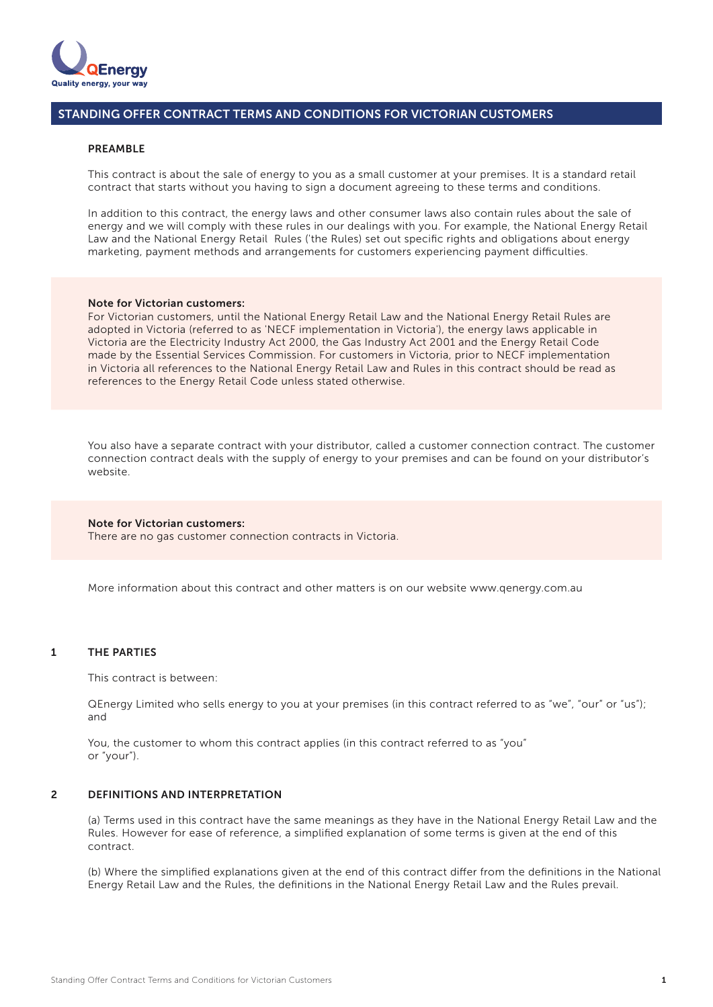

### PREAMBLE

This contract is about the sale of energy to you as a small customer at your premises. It is a standard retail contract that starts without you having to sign a document agreeing to these terms and conditions.

In addition to this contract, the energy laws and other consumer laws also contain rules about the sale of energy and we will comply with these rules in our dealings with you. For example, the National Energy Retail Law and the National Energy Retail Rules ('the Rules) set out specific rights and obligations about energy marketing, payment methods and arrangements for customers experiencing payment difficulties.

### Note for Victorian customers:

For Victorian customers, until the National Energy Retail Law and the National Energy Retail Rules are adopted in Victoria (referred to as 'NECF implementation in Victoria'), the energy laws applicable in Victoria are the Electricity Industry Act 2000, the Gas Industry Act 2001 and the Energy Retail Code made by the Essential Services Commission. For customers in Victoria, prior to NECF implementation in Victoria all references to the National Energy Retail Law and Rules in this contract should be read as references to the Energy Retail Code unless stated otherwise.

You also have a separate contract with your distributor, called a customer connection contract. The customer connection contract deals with the supply of energy to your premises and can be found on your distributor's website.

### Note for Victorian customers:

There are no gas customer connection contracts in Victoria.

More information about this contract and other matters is on our website www.qenergy.com.au

### 1 THE PARTIES

This contract is between:

QEnergy Limited who sells energy to you at your premises (in this contract referred to as "we", "our" or "us"); and

You, the customer to whom this contract applies (in this contract referred to as "you" or "your").

### $\overline{2}$ DEFINITIONS AND INTERPRETATION

(a) Terms used in this contract have the same meanings as they have in the National Energy Retail Law and the Rules. However for ease of reference, a simplified explanation of some terms is given at the end of this contract.

(b) Where the simplified explanations given at the end of this contract differ from the definitions in the National Energy Retail Law and the Rules, the definitions in the National Energy Retail Law and the Rules prevail.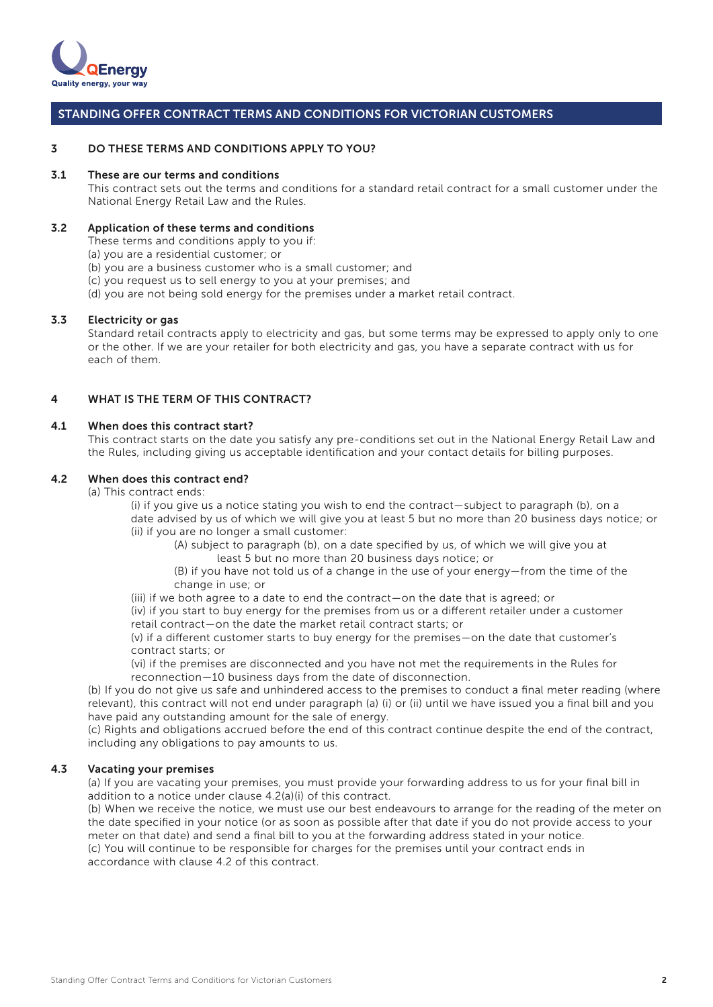

#### DO THESE TERMS AND CONDITIONS APPLY TO YOU? 3

#### These are our terms and conditions 3.1

This contract sets out the terms and conditions for a standard retail contract for a small customer under the National Energy Retail Law and the Rules.

### Application of these terms and conditions 3.2

These terms and conditions apply to you if:

(a) you are a residential customer; or

- (b) you are a business customer who is a small customer; and
- (c) you request us to sell energy to you at your premises; and
- (d) you are not being sold energy for the premises under a market retail contract.

#### Electricity or gas 3.3

Standard retail contracts apply to electricity and gas, but some terms may be expressed to apply only to one or the other. If we are your retailer for both electricity and gas, you have a separate contract with us for each of them.

### WHAT IS THE TERM OF THIS CONTRACT? 4

### When does this contract start? 4.1

This contract starts on the date you satisfy any pre-conditions set out in the National Energy Retail Law and the Rules, including giving us acceptable identification and your contact details for billing purposes.

### When does this contract end? 4.2

(a) This contract ends:

 (i) if you give us a notice stating you wish to end the contract—subject to paragraph (b), on a date advised by us of which we will give you at least 5 but no more than 20 business days notice; or (ii) if you are no longer a small customer:

 (A) subject to paragraph (b), on a date specified by us, of which we will give you at least 5 but no more than 20 business days notice; or

 (B) if you have not told us of a change in the use of your energy—from the time of the change in use; or

(iii) if we both agree to a date to end the contract—on the date that is agreed; or

(iv) if you start to buy energy for the premises from us or a different retailer under a customer retail contract—on the date the market retail contract starts; or

 $(v)$  if a different customer starts to buy energy for the premises—on the date that customer's contract starts; or

 (vi) if the premises are disconnected and you have not met the requirements in the Rules for reconnection—10 business days from the date of disconnection.

(b) If you do not give us safe and unhindered access to the premises to conduct a final meter reading (where relevant), this contract will not end under paragraph (a) (i) or (ii) until we have issued you a final bill and you have paid any outstanding amount for the sale of energy.

(c) Rights and obligations accrued before the end of this contract continue despite the end of the contract, including any obligations to pay amounts to us.

### Vacating your premises 4.3

(a) If you are vacating your premises, you must provide your forwarding address to us for your final bill in addition to a notice under clause 4.2(a)(i) of this contract.

(b) When we receive the notice, we must use our best endeavours to arrange for the reading of the meter on the date specified in your notice (or as soon as possible after that date if you do not provide access to your meter on that date) and send a final bill to you at the forwarding address stated in your notice.

(c) You will continue to be responsible for charges for the premises until your contract ends in accordance with clause 4.2 of this contract.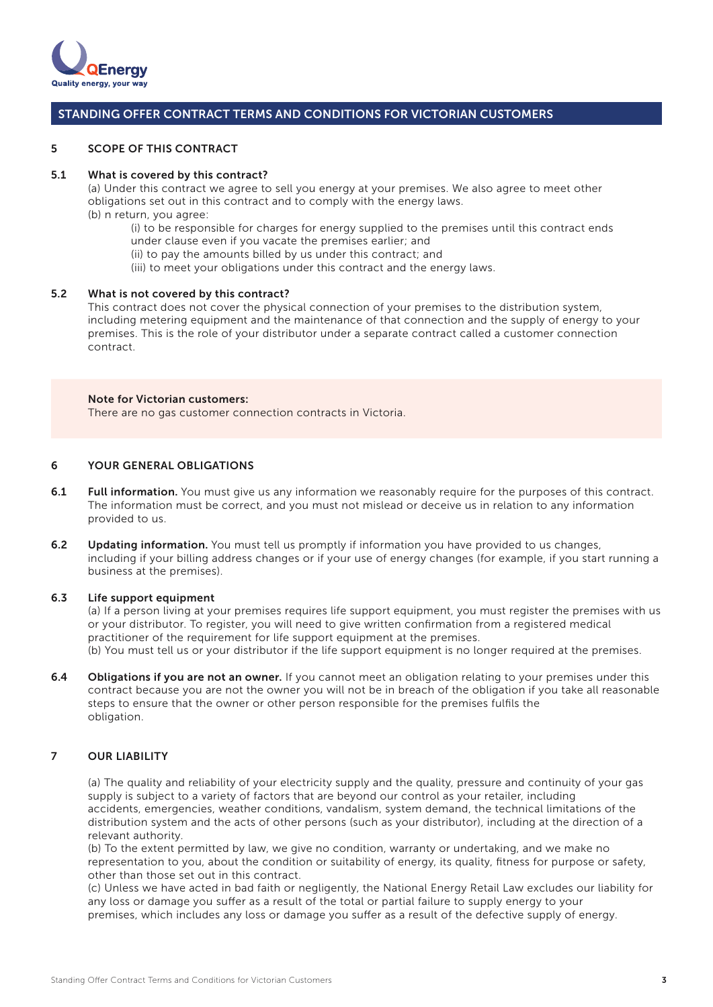

#### 5 SCOPE OF THIS CONTRACT

#### 5.1 What is covered by this contract?

(a) Under this contract we agree to sell you energy at your premises. We also agree to meet other obligations set out in this contract and to comply with the energy laws. (b) n return, you agree:

 (i) to be responsible for charges for energy supplied to the premises until this contract ends under clause even if you vacate the premises earlier; and

(ii) to pay the amounts billed by us under this contract; and

(iii) to meet your obligations under this contract and the energy laws.

### 5.2 What is not covered by this contract?

This contract does not cover the physical connection of your premises to the distribution system, including metering equipment and the maintenance of that connection and the supply of energy to your premises. This is the role of your distributor under a separate contract called a customer connection contract.

### Note for Victorian customers:

There are no gas customer connection contracts in Victoria.

### 6 YOUR GENERAL OBLIGATIONS

- 6.1 Full information. You must give us any information we reasonably require for the purposes of this contract. The information must be correct, and you must not mislead or deceive us in relation to any information provided to us.
- 6.2 Updating information. You must tell us promptly if information you have provided to us changes, including if your billing address changes or if your use of energy changes (for example, if you start running a business at the premises).

#### 6.3 Life support equipment

(a) If a person living at your premises requires life support equipment, you must register the premises with us or your distributor. To register, you will need to give written confirmation from a registered medical practitioner of the requirement for life support equipment at the premises. (b) You must tell us or your distributor if the life support equipment is no longer required at the premises.

6.4 Obligations if you are not an owner. If you cannot meet an obligation relating to your premises under this contract because you are not the owner you will not be in breach of the obligation if you take all reasonable steps to ensure that the owner or other person responsible for the premises fulfils the obligation.

### 7 OUR LIABILITY

(a) The quality and reliability of your electricity supply and the quality, pressure and continuity of your gas supply is subject to a variety of factors that are beyond our control as your retailer, including accidents, emergencies, weather conditions, vandalism, system demand, the technical limitations of the distribution system and the acts of other persons (such as your distributor), including at the direction of a relevant authority.

(b) To the extent permitted by law, we give no condition, warranty or undertaking, and we make no representation to you, about the condition or suitability of energy, its quality, fitness for purpose or safety, other than those set out in this contract.

(c) Unless we have acted in bad faith or negligently, the National Energy Retail Law excludes our liability for any loss or damage you suffer as a result of the total or partial failure to supply energy to your premises, which includes any loss or damage you suffer as a result of the defective supply of energy.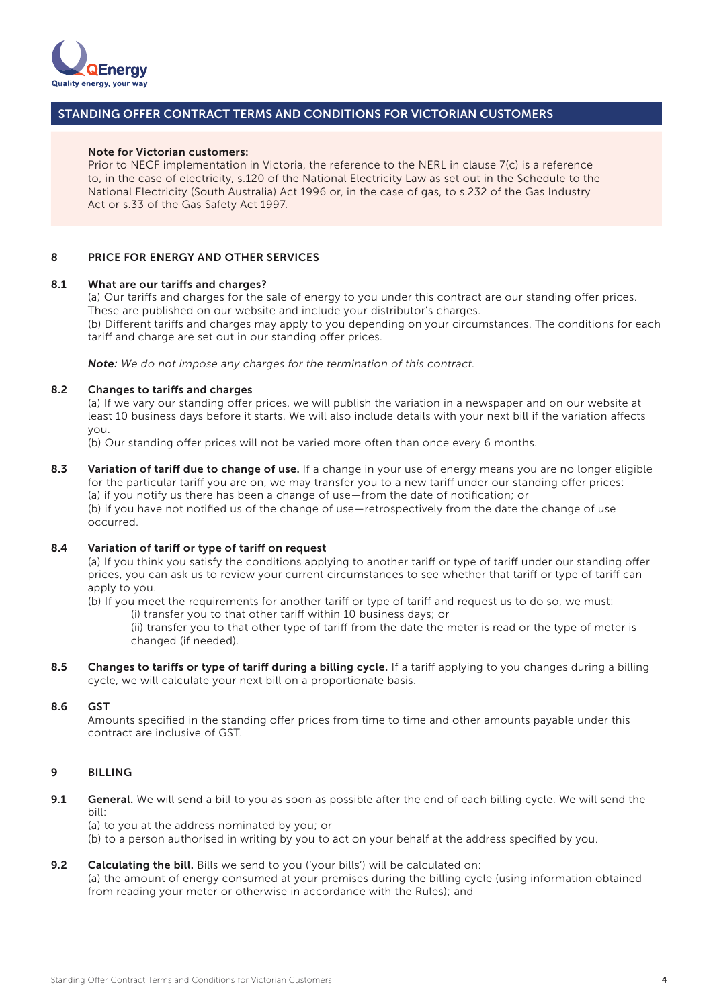

### Note for Victorian customers:

Prior to NECF implementation in Victoria, the reference to the NERL in clause 7(c) is a reference to, in the case of electricity, s.120 of the National Electricity Law as set out in the Schedule to the National Electricity (South Australia) Act 1996 or, in the case of gas, to s.232 of the Gas Industry Act or s.33 of the Gas Safety Act 1997.

### 8 PRICE FOR ENERGY AND OTHER SERVICES

#### 8.1 What are our tariffs and charges?

(a) Our tariffs and charges for the sale of energy to you under this contract are our standing offer prices. These are published on our website and include your distributor's charges. (b) Different tariffs and charges may apply to you depending on your circumstances. The conditions for each tariff and charge are set out in our standing offer prices.

*Note: We do not impose any charges for the termination of this contract.*

#### 8.2 Changes to tariffs and charges

(a) If we vary our standing offer prices, we will publish the variation in a newspaper and on our website at least 10 business days before it starts. We will also include details with your next bill if the variation affects you.

(b) Our standing offer prices will not be varied more often than once every 6 months.

8.3 Variation of tariff due to change of use. If a change in your use of energy means you are no longer eligible for the particular tariff you are on, we may transfer you to a new tariff under our standing offer prices: (a) if you notify us there has been a change of use—from the date of notification; or (b) if you have not notified us of the change of use—retrospectively from the date the change of use occurred.

### 8.4 Variation of tariff or type of tariff on request

(a) If you think you satisfy the conditions applying to another tariff or type of tariff under our standing offer prices, you can ask us to review your current circumstances to see whether that tariff or type of tariff can apply to you.

(b) If you meet the requirements for another tariff or type of tariff and request us to do so, we must: (i) transfer you to that other tariff within 10 business days; or

(ii) transfer you to that other type of tariff from the date the meter is read or the type of meter is changed (if needed).

8.5 Changes to tariffs or type of tariff during a billing cycle. If a tariff applying to you changes during a billing cycle, we will calculate your next bill on a proportionate basis.

#### 8.6 **GST**

Amounts specified in the standing offer prices from time to time and other amounts payable under this contract are inclusive of GST.

### 9 **BILLING**

9.1 General. We will send a bill to you as soon as possible after the end of each billing cycle. We will send the bill:

(a) to you at the address nominated by you; or

(b) to a person authorised in writing by you to act on your behalf at the address specified by you.

#### 9.2 Calculating the bill. Bills we send to you ('your bills') will be calculated on:

(a) the amount of energy consumed at your premises during the billing cycle (using information obtained from reading your meter or otherwise in accordance with the Rules); and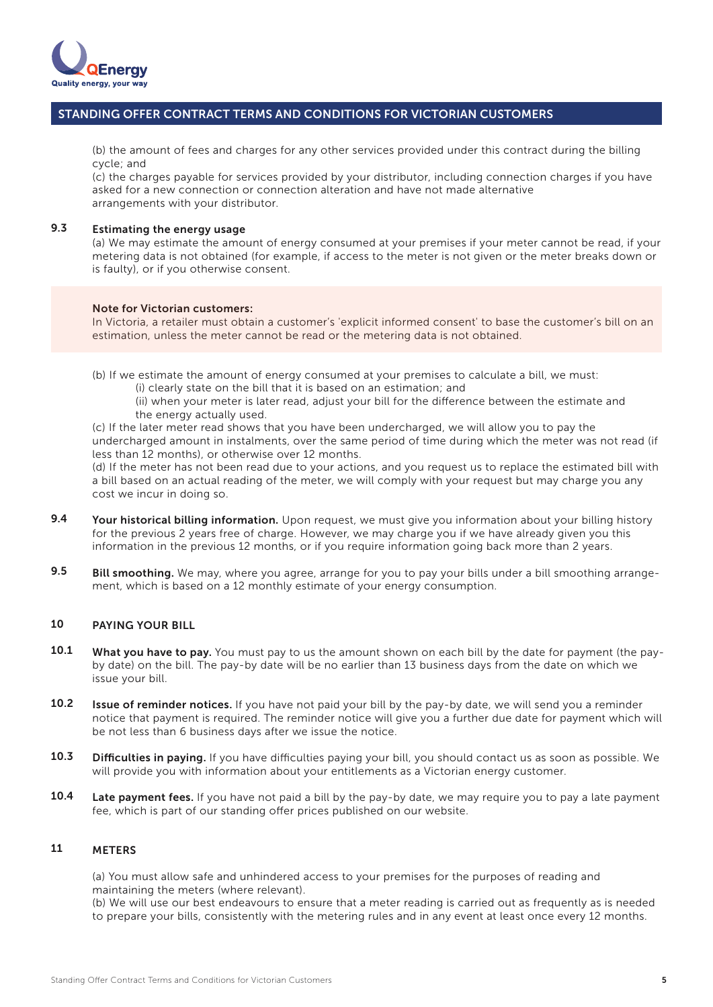

(b) the amount of fees and charges for any other services provided under this contract during the billing cycle; and

(c) the charges payable for services provided by your distributor, including connection charges if you have asked for a new connection or connection alteration and have not made alternative arrangements with your distributor.

### Estimating the energy usage 9.3

(a) We may estimate the amount of energy consumed at your premises if your meter cannot be read, if your metering data is not obtained (for example, if access to the meter is not given or the meter breaks down or is faulty), or if you otherwise consent.

### Note for Victorian customers:

In Victoria, a retailer must obtain a customer's 'explicit informed consent' to base the customer's bill on an estimation, unless the meter cannot be read or the metering data is not obtained.

(b) If we estimate the amount of energy consumed at your premises to calculate a bill, we must:

(i) clearly state on the bill that it is based on an estimation; and

(ii) when your meter is later read, adjust your bill for the difference between the estimate and the energy actually used.

(c) If the later meter read shows that you have been undercharged, we will allow you to pay the undercharged amount in instalments, over the same period of time during which the meter was not read (if less than 12 months), or otherwise over 12 months.

(d) If the meter has not been read due to your actions, and you request us to replace the estimated bill with a bill based on an actual reading of the meter, we will comply with your request but may charge you any cost we incur in doing so.

- Your historical billing information. Upon request, we must give you information about your billing history for the previous 2 years free of charge. However, we may charge you if we have already given you this information in the previous 12 months, or if you require information going back more than 2 years. 9.4
- Bill smoothing. We may, where you agree, arrange for you to pay your bills under a bill smoothing arrangement, which is based on a 12 monthly estimate of your energy consumption. 9.5

### PAYING YOUR BILL 10

- What you have to pay. You must pay to us the amount shown on each bill by the date for payment (the payby date) on the bill. The pay-by date will be no earlier than 13 business days from the date on which we issue your bill. 10.1
- **Issue of reminder notices.** If you have not paid your bill by the pay-by date, we will send you a reminder notice that payment is required. The reminder notice will give you a further due date for payment which will be not less than 6 business days after we issue the notice. 10.2
- Difficulties in paying. If you have difficulties paying your bill, you should contact us as soon as possible. We will provide you with information about your entitlements as a Victorian energy customer. 10.3
- Late payment fees. If you have not paid a bill by the pay-by date, we may require you to pay a late payment fee, which is part of our standing offer prices published on our website. 10.4

#### **METERS** 11

(a) You must allow safe and unhindered access to your premises for the purposes of reading and maintaining the meters (where relevant).

(b) We will use our best endeavours to ensure that a meter reading is carried out as frequently as is needed to prepare your bills, consistently with the metering rules and in any event at least once every 12 months.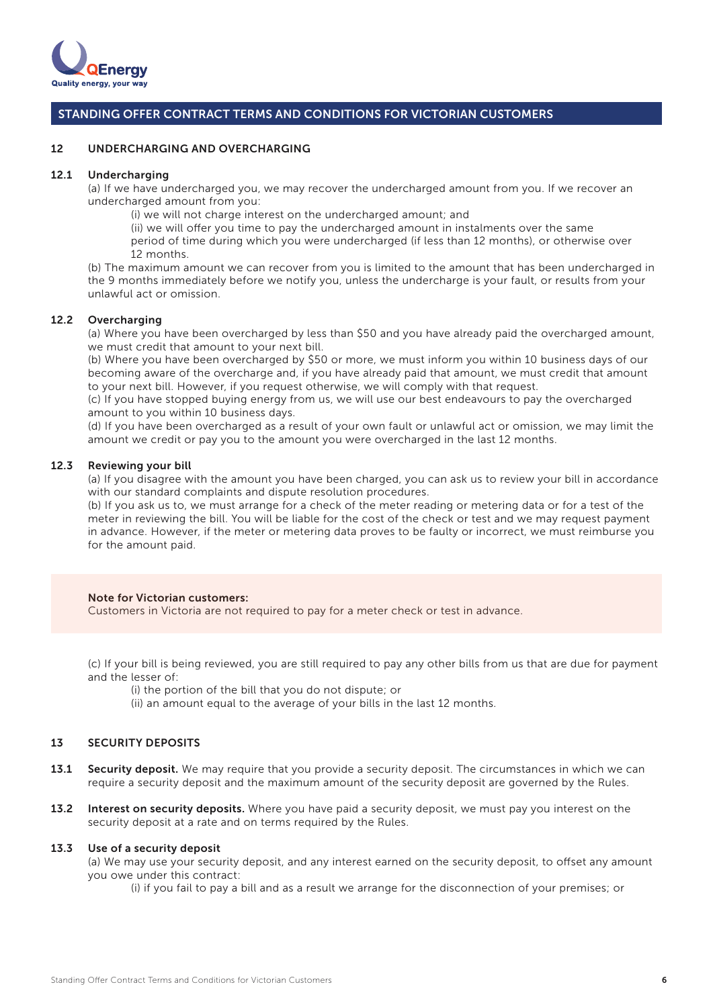

#### UNDERCHARGING AND OVERCHARGING 12

#### Undercharging 12.1

(a) If we have undercharged you, we may recover the undercharged amount from you. If we recover an undercharged amount from you:

(i) we will not charge interest on the undercharged amount; and

(ii) we will offer you time to pay the undercharged amount in instalments over the same period of time during which you were undercharged (if less than 12 months), or otherwise over 12 months.

(b) The maximum amount we can recover from you is limited to the amount that has been undercharged in the 9 months immediately before we notify you, unless the undercharge is your fault, or results from your unlawful act or omission.

### 12.2 Overcharging

(a) Where you have been overcharged by less than \$50 and you have already paid the overcharged amount, we must credit that amount to your next bill.

(b) Where you have been overcharged by \$50 or more, we must inform you within 10 business days of our becoming aware of the overcharge and, if you have already paid that amount, we must credit that amount to your next bill. However, if you request otherwise, we will comply with that request.

(c) If you have stopped buying energy from us, we will use our best endeavours to pay the overcharged amount to you within 10 business days.

(d) If you have been overcharged as a result of your own fault or unlawful act or omission, we may limit the amount we credit or pay you to the amount you were overcharged in the last 12 months.

### 12.3 Reviewing your bill

(a) If you disagree with the amount you have been charged, you can ask us to review your bill in accordance with our standard complaints and dispute resolution procedures.

(b) If you ask us to, we must arrange for a check of the meter reading or metering data or for a test of the meter in reviewing the bill. You will be liable for the cost of the check or test and we may request payment in advance. However, if the meter or metering data proves to be faulty or incorrect, we must reimburse you for the amount paid.

### Note for Victorian customers:

Customers in Victoria are not required to pay for a meter check or test in advance.

(c) If your bill is being reviewed, you are still required to pay any other bills from us that are due for payment and the lesser of:

(i) the portion of the bill that you do not dispute; or

(ii) an amount equal to the average of your bills in the last 12 months.

### SECURITY DEPOSITS 13

- Security deposit. We may require that you provide a security deposit. The circumstances in which we can require a security deposit and the maximum amount of the security deposit are governed by the Rules. 13.1
- 13.2 Interest on security deposits. Where you have paid a security deposit, we must pay you interest on the security deposit at a rate and on terms required by the Rules.

#### Use of a security deposit 13.3

(a) We may use your security deposit, and any interest earned on the security deposit, to offset any amount you owe under this contract:

(i) if you fail to pay a bill and as a result we arrange for the disconnection of your premises; or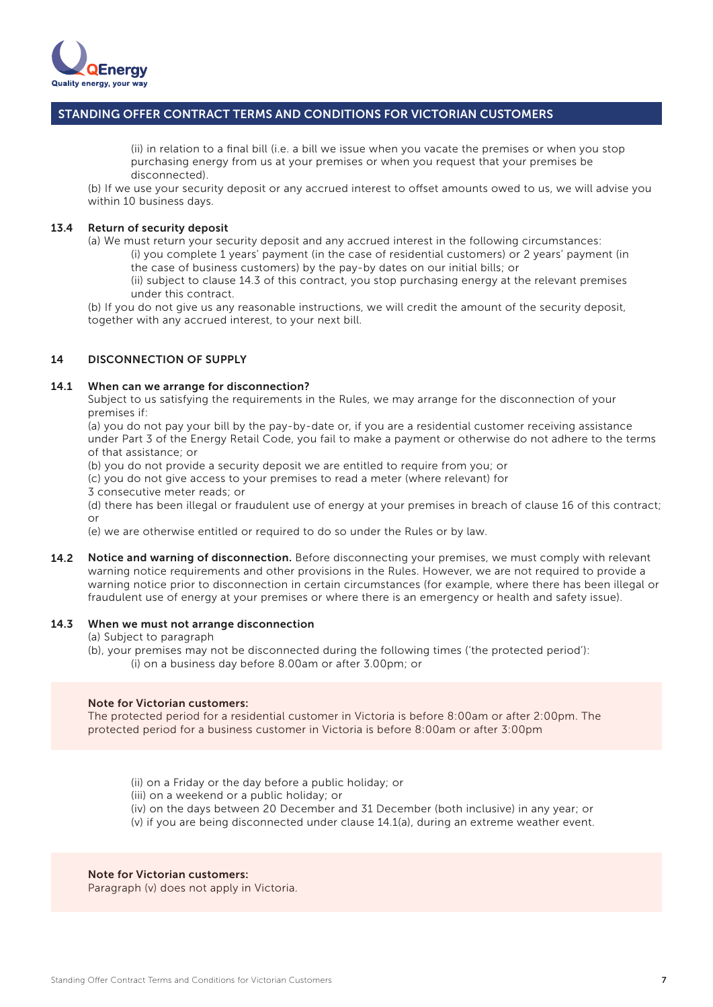

 (ii) in relation to a final bill (i.e. a bill we issue when you vacate the premises or when you stop purchasing energy from us at your premises or when you request that your premises be disconnected).

(b) If we use your security deposit or any accrued interest to offset amounts owed to us, we will advise you within 10 business days.

### 13.4 Return of security deposit

(a) We must return your security deposit and any accrued interest in the following circumstances: (i) you complete 1 years' payment (in the case of residential customers) or 2 years' payment (in the case of business customers) by the pay-by dates on our initial bills; or (ii) subject to clause 14.3 of this contract, you stop purchasing energy at the relevant premises

under this contract.

(b) If you do not give us any reasonable instructions, we will credit the amount of the security deposit, together with any accrued interest, to your next bill.

### DISCONNECTION OF SUPPLY 14

#### When can we arrange for disconnection? 14.1

Subject to us satisfying the requirements in the Rules, we may arrange for the disconnection of your premises if:

(a) you do not pay your bill by the pay-by-date or, if you are a residential customer receiving assistance under Part 3 of the Energy Retail Code, you fail to make a payment or otherwise do not adhere to the terms of that assistance; or

(b) you do not provide a security deposit we are entitled to require from you; or

(c) you do not give access to your premises to read a meter (where relevant) for

3 consecutive meter reads; or

(d) there has been illegal or fraudulent use of energy at your premises in breach of clause 16 of this contract; or

(e) we are otherwise entitled or required to do so under the Rules or by law.

14.2 Notice and warning of disconnection. Before disconnecting your premises, we must comply with relevant warning notice requirements and other provisions in the Rules. However, we are not required to provide a warning notice prior to disconnection in certain circumstances (for example, where there has been illegal or fraudulent use of energy at your premises or where there is an emergency or health and safety issue).

### When we must not arrange disconnection 14.3

(a) Subject to paragraph

(b), your premises may not be disconnected during the following times ('the protected period'): (i) on a business day before 8.00am or after 3.00pm; or

### Note for Victorian customers:

The protected period for a residential customer in Victoria is before 8:00am or after 2:00pm. The protected period for a business customer in Victoria is before 8:00am or after 3:00pm

(ii) on a Friday or the day before a public holiday; or

(iii) on a weekend or a public holiday; or

 (iv) on the days between 20 December and 31 December (both inclusive) in any year; or (v) if you are being disconnected under clause 14.1(a), during an extreme weather event.

### Note for Victorian customers:

Paragraph (v) does not apply in Victoria.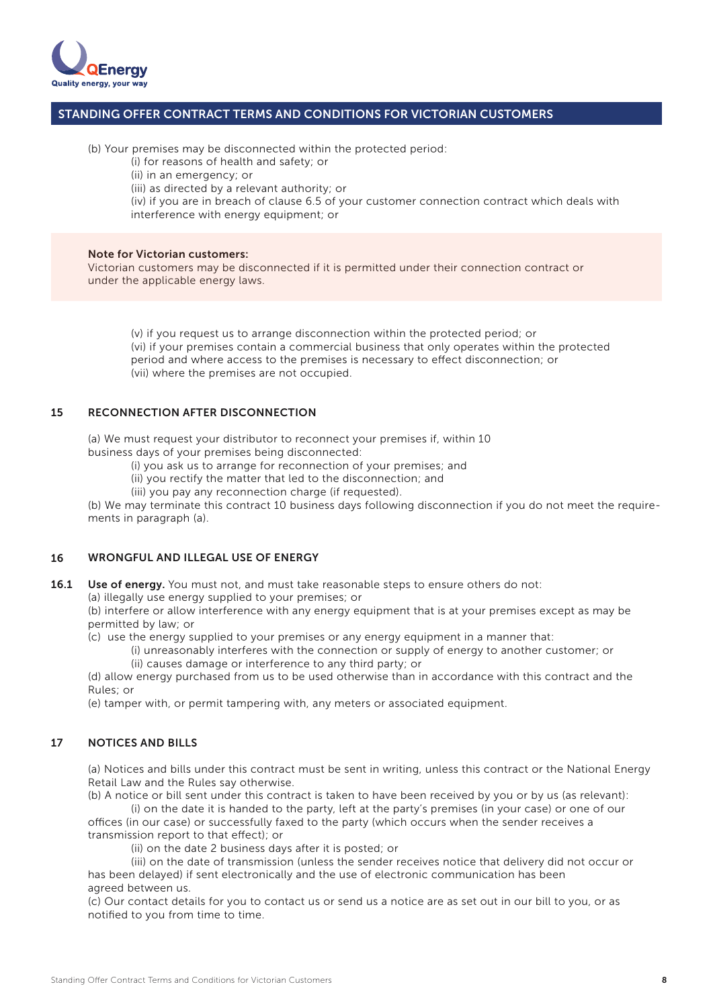

(b) Your premises may be disconnected within the protected period:

(i) for reasons of health and safety; or

(ii) in an emergency; or

(iii) as directed by a relevant authority; or

 (iv) if you are in breach of clause 6.5 of your customer connection contract which deals with interference with energy equipment; or

### Note for Victorian customers:

Victorian customers may be disconnected if it is permitted under their connection contract or under the applicable energy laws.

 (v) if you request us to arrange disconnection within the protected period; or (vi) if your premises contain a commercial business that only operates within the protected period and where access to the premises is necessary to effect disconnection; or (vii) where the premises are not occupied.

### RECONNECTION AFTER DISCONNECTION 15

(a) We must request your distributor to reconnect your premises if, within 10 business days of your premises being disconnected:

(i) you ask us to arrange for reconnection of your premises; and

(ii) you rectify the matter that led to the disconnection; and

(iii) you pay any reconnection charge (if requested).

(b) We may terminate this contract 10 business days following disconnection if you do not meet the requirements in paragraph (a).

### WRONGFUL AND ILLEGAL USE OF ENERGY 16

Use of energy. You must not, and must take reasonable steps to ensure others do not: 16.1

(a) illegally use energy supplied to your premises; or

(b) interfere or allow interference with any energy equipment that is at your premises except as may be permitted by law; or

(c) use the energy supplied to your premises or any energy equipment in a manner that:

 (i) unreasonably interferes with the connection or supply of energy to another customer; or (ii) causes damage or interference to any third party; or

(d) allow energy purchased from us to be used otherwise than in accordance with this contract and the Rules; or

(e) tamper with, or permit tampering with, any meters or associated equipment.

### NOTICES AND BILLS 17

(a) Notices and bills under this contract must be sent in writing, unless this contract or the National Energy Retail Law and the Rules say otherwise.

(b) A notice or bill sent under this contract is taken to have been received by you or by us (as relevant): (i) on the date it is handed to the party, left at the party's premises (in your case) or one of our

offices (in our case) or successfully faxed to the party (which occurs when the sender receives a transmission report to that effect); or

(ii) on the date 2 business days after it is posted; or

 (iii) on the date of transmission (unless the sender receives notice that delivery did not occur or has been delayed) if sent electronically and the use of electronic communication has been agreed between us.

(c) Our contact details for you to contact us or send us a notice are as set out in our bill to you, or as notified to you from time to time.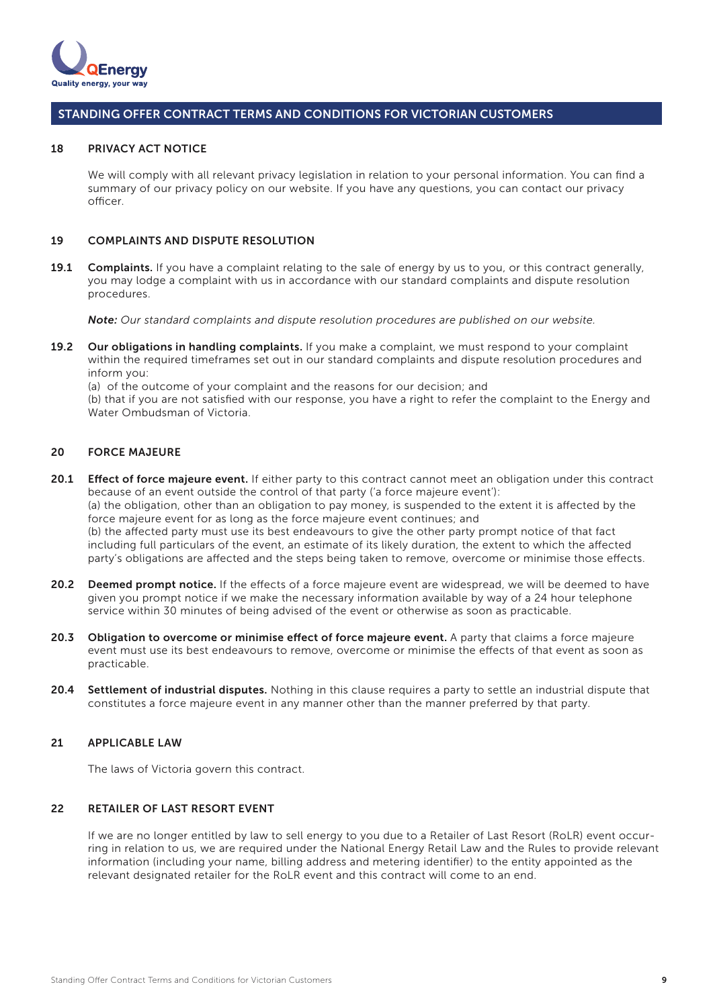

#### PRIVACY ACT NOTICE 18

We will comply with all relevant privacy legislation in relation to your personal information. You can find a summary of our privacy policy on our website. If you have any questions, you can contact our privacy officer.

### COMPLAINTS AND DISPUTE RESOLUTION 19

Complaints. If you have a complaint relating to the sale of energy by us to you, or this contract generally, you may lodge a complaint with us in accordance with our standard complaints and dispute resolution procedures. 19.1

*Note: Our standard complaints and dispute resolution procedures are published on our website.*

19.2 Our obligations in handling complaints. If you make a complaint, we must respond to your complaint within the required timeframes set out in our standard complaints and dispute resolution procedures and inform you:

(a) of the outcome of your complaint and the reasons for our decision; and (b) that if you are not satisfied with our response, you have a right to refer the complaint to the Energy and Water Ombudsman of Victoria.

### FORCE MAJEURE 20

- 20.1 Effect of force majeure event. If either party to this contract cannot meet an obligation under this contract because of an event outside the control of that party ('a force majeure event'): (a) the obligation, other than an obligation to pay money, is suspended to the extent it is affected by the force majeure event for as long as the force majeure event continues; and (b) the affected party must use its best endeavours to give the other party prompt notice of that fact including full particulars of the event, an estimate of its likely duration, the extent to which the affected party's obligations are affected and the steps being taken to remove, overcome or minimise those effects.
- 20.2 Deemed prompt notice. If the effects of a force majeure event are widespread, we will be deemed to have given you prompt notice if we make the necessary information available by way of a 24 hour telephone service within 30 minutes of being advised of the event or otherwise as soon as practicable.
- Obligation to overcome or minimise effect of force majeure event. A party that claims a force majeure event must use its best endeavours to remove, overcome or minimise the effects of that event as soon as practicable. 20.3
- Settlement of industrial disputes. Nothing in this clause requires a party to settle an industrial dispute that constitutes a force majeure event in any manner other than the manner preferred by that party. 20.4

### APPLICABLE LAW 21

The laws of Victoria govern this contract.

### RETAILER OF LAST RESORT EVENT 22

If we are no longer entitled by law to sell energy to you due to a Retailer of Last Resort (RoLR) event occurring in relation to us, we are required under the National Energy Retail Law and the Rules to provide relevant information (including your name, billing address and metering identifier) to the entity appointed as the relevant designated retailer for the RoLR event and this contract will come to an end.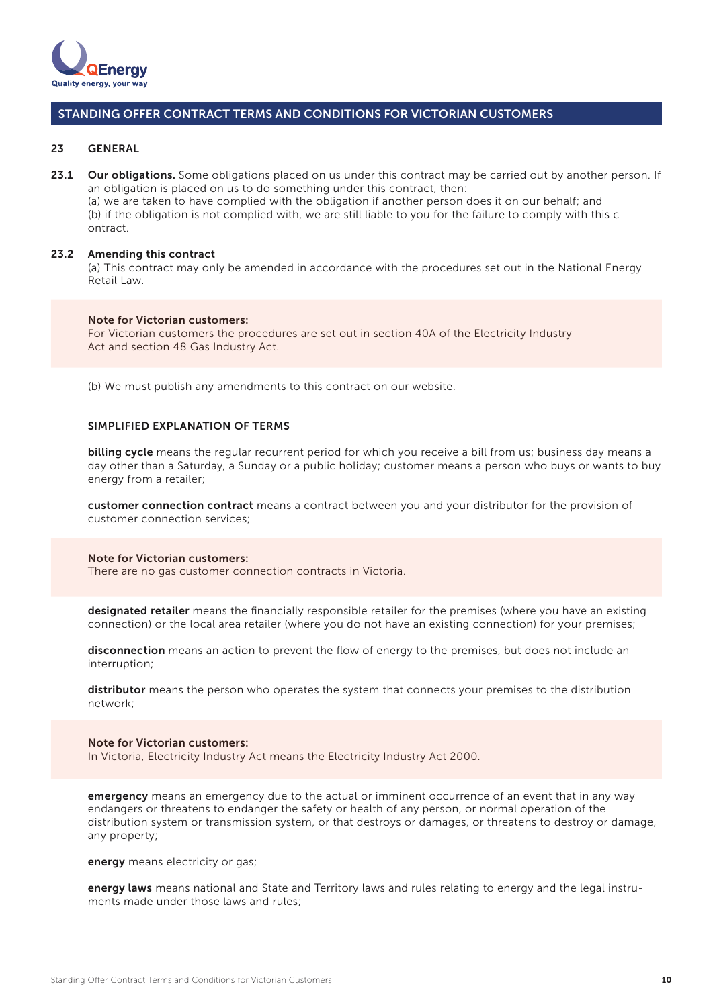

#### GENERAL 23

23.1 Our obligations. Some obligations placed on us under this contract may be carried out by another person. If an obligation is placed on us to do something under this contract, then: (a) we are taken to have complied with the obligation if another person does it on our behalf; and (b) if the obligation is not complied with, we are still liable to you for the failure to comply with this c ontract.

### 23.2 Amending this contract

(a) This contract may only be amended in accordance with the procedures set out in the National Energy Retail Law.

### Note for Victorian customers:

For Victorian customers the procedures are set out in section 40A of the Electricity Industry Act and section 48 Gas Industry Act.

(b) We must publish any amendments to this contract on our website.

### SIMPLIFIED EXPLANATION OF TERMS

billing cycle means the regular recurrent period for which you receive a bill from us; business day means a day other than a Saturday, a Sunday or a public holiday; customer means a person who buys or wants to buy energy from a retailer;

customer connection contract means a contract between you and your distributor for the provision of customer connection services;

### Note for Victorian customers:

There are no gas customer connection contracts in Victoria.

designated retailer means the financially responsible retailer for the premises (where you have an existing connection) or the local area retailer (where you do not have an existing connection) for your premises;

disconnection means an action to prevent the flow of energy to the premises, but does not include an interruption;

distributor means the person who operates the system that connects your premises to the distribution network;

### Note for Victorian customers:

In Victoria, Electricity Industry Act means the Electricity Industry Act 2000.

emergency means an emergency due to the actual or imminent occurrence of an event that in any way endangers or threatens to endanger the safety or health of any person, or normal operation of the distribution system or transmission system, or that destroys or damages, or threatens to destroy or damage, any property;

energy means electricity or gas;

energy laws means national and State and Territory laws and rules relating to energy and the legal instruments made under those laws and rules;